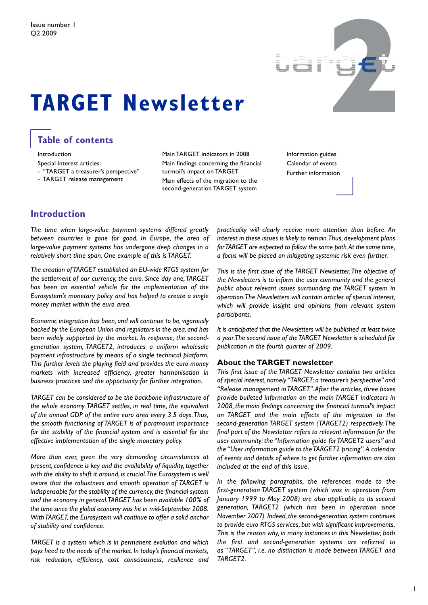

# **TARGET Newsletter**

### **Table of contents**

Introduction

Special interest articles:

- "TARGET a treasurer's perspective"

- TARGET release management

Main TARGET indicators in 2008 Main findings concerning the financial turmoil's impact on TARGET Main effects of the migration to the second-generation TARGET system

Information guides Calendar of events Further information

### **Introduction**

*The time when large-value payment systems differed greatly between countries is gone for good. In Europe, the area of large-value payment systems has undergone deep changes in a relatively short time span. One example of this is TARGET.*

*The creation ofTARGET established an EU-wide RTGS system for the settlement of our currency, the euro. Since day one,TARGET has been an essential vehicle for the implementation of the Eurosystem's monetary policy and has helped to create a single money market within the euro area.*

*Economic integration has been, and will continue to be,vigorously backed by the European Union and regulators in the area, and has been widely supported by the market. In response, the secondgeneration system, TARGET2, introduces a uniform wholesale payment infrastructure by means of a single technical platform. This further levels the playing field and provides the euro money markets with increased efficiency, greater harmonisation in business practices and the opportunity for further integration.*

*TARGET can be considered to be the backbone infrastructure of the whole economy.TARGET settles, in real time, the equivalent of the annual GDP of the entire euro area every 3.5 days.Thus, the smooth functioning of TARGET is of paramount importance for the stability of the financial system and is essential for the effective implementation of the single monetary policy.*

*More than ever, given the very demanding circumstances at present,confidence is key and the availability of liquidity, together with the ability to shift it around, is crucial.The Eurosystem is well aware that the robustness and smooth operation of TARGET is indispensable for the stability of the currency, the financial system and the economy in general.TARGET has been available 100% of the time since the global economy was hit in mid-September 2008. WithTARGET, the Eurosystem will continue to offer a solid anchor of stability and confidence.*

*TARGET is a system which is in permanent evolution and which pays heed to the needs of the market. In today's financial markets, risk reduction, efficiency, cost consciousness, resilience and* *practicality will clearly receive more attention than before. An interest in these issues is likely to remain.Thus, development plans forTARGET are expected to follow the same path.At the same time, a focus will be placed on mitigating systemic risk even further.*

*This is the first issue of the TARGET Newsletter.The objective of the Newsletters is to inform the user community and the general public about relevant issues surrounding the TARGET system in operation.The Newsletters will contain articles of special interest, which will provide insight and opinions from relevant system participants.*

*It is anticipated that the Newsletters will be published at least twice a year.The second issue of theTARGET Newsletter is scheduled for publication in the fourth quarter of 2009.*

#### **About the TARGET newsletter**

*This first issue of the TARGET Newsletter contains two articles of special interest, namely "TARGET: a treasurer's perspective" and "Release management inTARGET".After the articles, three boxes provide bulleted information on the main TARGET indicators in 2008, the main findings concerning the financial turmoil's impact on TARGET and the main effects of the migration to the second-generation TARGET system (TARGET2) respectively.The final part of the Newsletter refers to relevant information for the user community: the "Information guide forTARGET2 users" and the "User information guide to theTARGET2 pricing".A calendar of events and details of where to get further information are also included at the end of this issue.*

*In the following paragraphs, the references made to the first-generation TARGET system (which was in operation from January 1999 to May 2008) are also applicable to its second generation, TARGET2 (which has been in operation since November 2007). Indeed, the second-generation system continues to provide euro RTGS services, but with significant improvements. This is the reason why, in many instances in this Newsletter, both the first and second-generation systems are referred to as "TARGET", i.e. no distinction is made between TARGET and TARGET2.*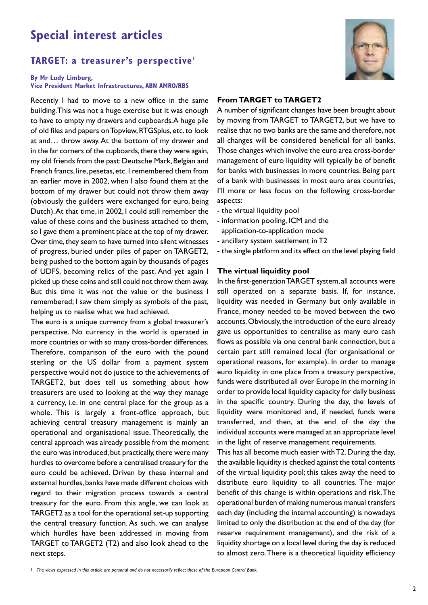### **Special interest articles**

### **TARGET: a treasurer's perspective1**

#### **By Mr Ludy Limburg, Vice President Market Infrastructures, ABN AMRO/RBS**

Recently I had to move to a new office in the same building.This was not a huge exercise but it was enough to have to empty my drawers and cupboards.A huge pile of old files and papers onTopview,RTGSplus, etc.to look at and… throw away.At the bottom of my drawer and in the far corners of the cupboards, there they were again, my old friends from the past: Deutsche Mark, Belgian and French francs, lire, pesetas, etc. I remembered them from an earlier move in 2002, when I also found them at the bottom of my drawer but could not throw them away (obviously the guilders were exchanged for euro, being Dutch).At that time, in 2002, I could still remember the value of these coins and the business attached to them, so I gave them a prominent place at the top of my drawer. Over time, they seem to have turned into silent witnesses of progress, buried under piles of paper on TARGET2, being pushed to the bottom again by thousands of pages of UDFS, becoming relics of the past. And yet again I picked up these coins and still could not throw them away. But this time it was not the value or the business I remembered; I saw them simply as symbols of the past, helping us to realise what we had achieved.

The euro is a unique currency from a global treasurer's perspective. No currency in the world is operated in more countries or with so many cross-border differences. Therefore, comparison of the euro with the pound sterling or the US dollar from a payment system perspective would not do justice to the achievements of TARGET2, but does tell us something about how treasurers are used to looking at the way they manage a currency, i.e. in one central place for the group as a whole. This is largely a front-office approach, but achieving central treasury management is mainly an operational and organisational issue. Theoretically, the central approach was already possible from the moment the euro was introduced, but practically, there were many hurdles to overcome before a centralised treasury for the euro could be achieved. Driven by these internal and external hurdles, banks have made different choices with regard to their migration process towards a central treasury for the euro. From this angle, we can look at TARGET2 as a tool for the operational set-up supporting the central treasury function. As such, we can analyse which hurdles have been addressed in moving from TARGET to TARGET2 (T2) and also look ahead to the next steps.



#### **From TARGET** to TARGET2

A number of significant changes have been brought about by moving from TARGET to TARGET2, but we have to realise that no two banks are the same and therefore,not all changes will be considered beneficial for all banks. Those changes which involve the euro area cross-border management of euro liquidity will typically be of benefit for banks with businesses in more countries. Being part of a bank with businesses in most euro area countries, I'll more or less focus on the following cross-border aspects:

- the virtual liquidity pool
- information pooling, ICM and the
- application-to-application mode
- ancillary system settlement in T2
- the single platform and its effect on the level playing field

#### **The virtual liquidity pool**

In the first-generationTARGET system, all accounts were still operated on a separate basis. If, for instance, liquidity was needed in Germany but only available in France, money needed to be moved between the two accounts.Obviously,the introduction of the euro already gave us opportunities to centralise as many euro cash flows as possible via one central bank connection, but a certain part still remained local (for organisational or operational reasons, for example). In order to manage euro liquidity in one place from a treasury perspective, funds were distributed all over Europe in the morning in order to provide local liquidity capacity for daily business in the specific country. During the day, the levels of liquidity were monitored and, if needed, funds were transferred, and then, at the end of the day the individual accounts were managed at an appropriate level in the light of reserve management requirements.

This has all become much easier with T2. During the day, the available liquidity is checked against the total contents of the virtual liquidity pool; this takes away the need to distribute euro liquidity to all countries. The major benefit of this change is within operations and risk.The operational burden of making numerous manual transfers each day (including the internal accounting) is nowadays limited to only the distribution at the end of the day (for reserve requirement management), and the risk of a liquidity shortage on a local level during the day is reduced to almost zero.There is a theoretical liquidity efficiency

<sup>1</sup> The views expressed in this article are personal and do not necessarily reflect those of the European Central Bank.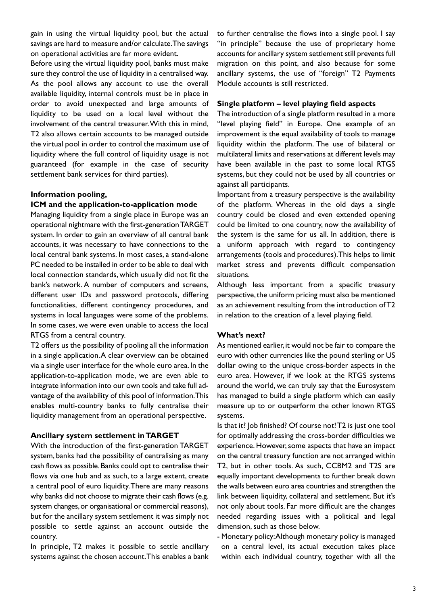gain in using the virtual liquidity pool, but the actual savings are hard to measure and/or calculate.The savings on operational activities are far more evident.

Before using the virtual liquidity pool, banks must make sure they control the use of liquidity in a centralised way. As the pool allows any account to use the overall available liquidity, internal controls must be in place in order to avoid unexpected and large amounts of liquidity to be used on a local level without the involvement of the central treasurer.With this in mind, T2 also allows certain accounts to be managed outside the virtual pool in order to control the maximum use of liquidity where the full control of liquidity usage is not guaranteed (for example in the case of security settlement bank services for third parties).

#### **Information pooling,**

#### **ICM and the application-to-application mode**

Managing liquidity from a single place in Europe was an operational nightmare with the first-generationTARGET system. In order to gain an overview of all central bank accounts, it was necessary to have connections to the local central bank systems. In most cases, a stand-alone PC needed to be installed in order to be able to deal with local connection standards, which usually did not fit the bank's network. A number of computers and screens, different user IDs and password protocols, differing functionalities, different contingency procedures, and systems in local languages were some of the problems. In some cases, we were even unable to access the local RTGS from a central country.

T2 offers us the possibility of pooling all the information in a single application.A clear overview can be obtained via a single user interface for the whole euro area. In the application-to-application mode, we are even able to integrate information into our own tools and take full advantage of the availability of this pool of information.This enables multi-country banks to fully centralise their liquidity management from an operational perspective.

#### **Ancillary system settlement inTARGET**

With the introduction of the first-generation TARGET system, banks had the possibility of centralising as many cash flows as possible.Banks could opt to centralise their flows via one hub and as such, to a large extent, create a central pool of euro liquidity.There are many reasons why banks did not choose to migrate their cash flows (e.g. system changes,or organisational or commercial reasons), but for the ancillary system settlement it was simply not possible to settle against an account outside the country.

In principle, T2 makes it possible to settle ancillary systems against the chosen account.This enables a bank

to further centralise the flows into a single pool. I say "in principle" because the use of proprietary home accounts for ancillary system settlement still prevents full migration on this point, and also because for some ancillary systems, the use of "foreign" T2 Payments Module accounts is still restricted.

#### **Single platform – level playing field aspects**

The introduction of a single platform resulted in a more "level playing field" in Europe. One example of an improvement is the equal availability of tools to manage liquidity within the platform. The use of bilateral or multilateral limits and reservations at different levels may have been available in the past to some local RTGS systems, but they could not be used by all countries or against all participants.

Important from a treasury perspective is the availability of the platform. Whereas in the old days a single country could be closed and even extended opening could be limited to one country, now the availability of the system is the same for us all. In addition, there is a uniform approach with regard to contingency arrangements (tools and procedures).This helps to limit market stress and prevents difficult compensation situations.

Although less important from a specific treasury perspective, the uniform pricing must also be mentioned as an achievement resulting from the introduction ofT2 in relation to the creation of a level playing field.

#### **What's next?**

As mentioned earlier, it would not be fair to compare the euro with other currencies like the pound sterling or US dollar owing to the unique cross-border aspects in the euro area. However, if we look at the RTGS systems around the world, we can truly say that the Eurosystem has managed to build a single platform which can easily measure up to or outperform the other known RTGS systems.

Is that it? Job finished? Of course not!T2 is just one tool for optimally addressing the cross-border difficulties we experience. However, some aspects that have an impact on the central treasury function are not arranged within T2, but in other tools. As such, CCBM2 and T2S are equally important developments to further break down the walls between euro area countries and strengthen the link between liquidity, collateral and settlement. But it's not only about tools. Far more difficult are the changes needed regarding issues with a political and legal dimension, such as those below.

- Monetary policy:Although monetary policy is managed on a central level, its actual execution takes place within each individual country, together with all the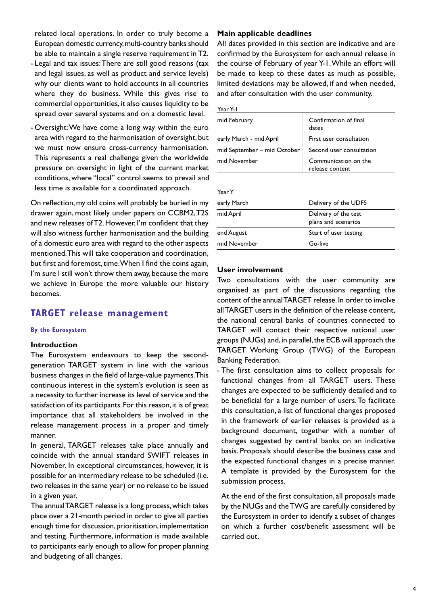related local operations. In order to truly become a European domestic currency,multi-country banks should be able to maintain a single reserve requirement in T2.

- Legal and tax issues:There are still good reasons (tax and legal issues, as well as product and service levels) why our clients want to hold accounts in all countries where they do business. While this gives rise to commercial opportunities, it also causes liquidity to be spread over several systems and on a domestic level.
- Oversight:We have come a long way within the euro area with regard to the harmonisation of oversight, but we must now ensure cross-currency harmonisation. This represents a real challenge given the worldwide pressure on oversight in light of the current market conditions, where "local" control seems to prevail and less time is available for a coordinated approach.

On reflection,my old coins will probably be buried in my drawer again, most likely under papers on CCBM2,T2S and new releases ofT2.However, I'm confident that they will also witness further harmonisation and the building of a domestic euro area with regard to the other aspects mentioned.This will take cooperation and coordination, but first and foremost, time. When I find the coins again, I'm sure I still won't throw them away, because the more we achieve in Europe the more valuable our history becomes.

### **TARGET release management**

#### **By the Eurosystem**

#### **Introduction**

The Eurosystem endeavours to keep the secondgeneration TARGET system in line with the various business changes in the field of large-value payments.This continuous interest in the system's evolution is seen as a necessity to further increase its level of service and the satisfaction of its participants. For this reason, it is of great importance that all stakeholders be involved in the release management process in a proper and timely manner.

In general, TARGET releases take place annually and coincide with the annual standard SWIFT releases in November. In exceptional circumstances, however, it is possible for an intermediary release to be scheduled (i.e. two releases in the same year) or no release to be issued in a given year.

The annualTARGET release is a long process,which takes place over a 21-month period in order to give all parties enough time for discussion, prioritisation, implementation and testing. Furthermore, information is made available to participants early enough to allow for proper planning and budgeting of all changes.

#### **Main applicable deadlines**

All dates provided in this section are indicative and are confirmed by the Eurosystem for each annual release in the course of February of year Y-1.While an effort will be made to keep to these dates as much as possible, limited deviations may be allowed, if and when needed, and after consultation with the user community.

|--|--|--|

| mid February                | Confirmation of final<br>dates          |
|-----------------------------|-----------------------------------------|
| early March - mid April     | First user consultation                 |
| mid September - mid October | Second user consultation                |
| mid November                | Communication on the<br>release content |

YearY

| ו וגשו       |                                             |
|--------------|---------------------------------------------|
| early March  | Delivery of the UDFS                        |
| mid April    | Delivery of the test<br>plans and scenarios |
| end August   | Start of user testing                       |
| mid November | Go-live                                     |
|              |                                             |

#### **User involvement**

Two consultations with the user community are organised as part of the discussions regarding the content of the annualTARGET release.In order to involve allTARGET users in the definition of the release content, the national central banks of countries connected to TARGET will contact their respective national user groups (NUGs) and, in parallel, the ECB will approach the TARGET Working Group (TWG) of the European Banking Federation.

- The first consultation aims to collect proposals for functional changes from all TARGET users. These changes are expected to be sufficiently detailed and to be beneficial for a large number of users.To facilitate this consultation, a list of functional changes proposed in the framework of earlier releases is provided as a background document, together with a number of changes suggested by central banks on an indicative basis. Proposals should describe the business case and the expected functional changes in a precise manner. A template is provided by the Eurosystem for the submission process.

At the end of the first consultation, all proposals made by the NUGs and theTWG are carefully considered by the Eurosystem in order to identify a subset of changes on which a further cost/benefit assessment will be carried out.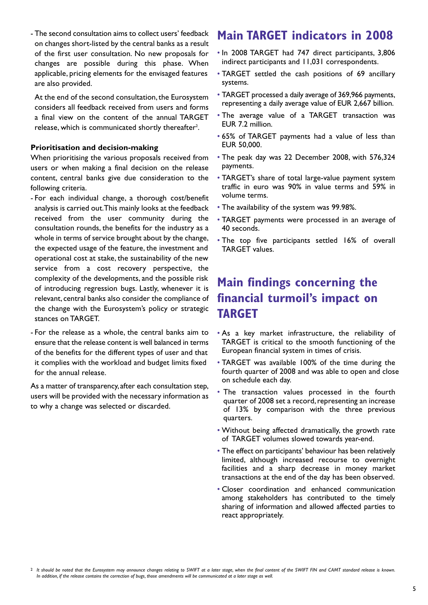- The second consultation aims to collect users' feedback on changes short-listed by the central banks as a result of the first user consultation. No new proposals for changes are possible during this phase. When applicable, pricing elements for the envisaged features are also provided.

At the end of the second consultation, the Eurosystem considers all feedback received from users and forms a final view on the content of the annual TARGET release, which is communicated shortly thereafter $^2$ .

#### **Prioritisation and decision-making**

When prioritising the various proposals received from users or when making a final decision on the release content, central banks give due consideration to the following criteria.

- For each individual change, a thorough cost/benefit analysis is carried out.This mainly looks at the feedback received from the user community during the consultation rounds, the benefits for the industry as a whole in terms of service brought about by the change, the expected usage of the feature, the investment and operational cost at stake, the sustainability of the new service from a cost recovery perspective, the complexity of the developments, and the possible risk of introducing regression bugs. Lastly, whenever it is relevant, central banks also consider the compliance of the change with the Eurosystem's policy or strategic stances on TARGET.
- For the release as a whole, the central banks aim to ensure that the release content is well balanced in terms of the benefits for the different types of user and that it complies with the workload and budget limits fixed for the annual release.

As a matter of transparency, after each consultation step, users will be provided with the necessary information as to why a change was selected or discarded.

### **Main TARGET indicators in 2008**

- In 2008 TARGET had 747 direct participants, 3,806 indirect participants and 11,031 correspondents.
- TARGET settled the cash positions of 69 ancillary systems.
- TARGET processed a daily average of 369,966 payments, representing a daily average value of EUR 2,667 billion.
- The average value of a TARGET transaction was EUR 7.2 million.
- 65% of TARGET payments had a value of less than EUR 50,000.
- The peak day was 22 December 2008, with 576,324 payments.
- TARGET's share of total large-value payment system traffic in euro was 90% in value terms and 59% in volume terms.
- The availability of the system was 99.98%.
- TARGET payments were processed in an average of 40 seconds.
- The top five participants settled 16% of overall TARGET values.

# **Main findings concerning the financial turmoil's impact on TARGET**

- As a key market infrastructure, the reliability of TARGET is critical to the smooth functioning of the European financial system in times of crisis.
- TARGET was available 100% of the time during the fourth quarter of 2008 and was able to open and close on schedule each day.
- The transaction values processed in the fourth quarter of 2008 set a record, representing an increase of 13% by comparison with the three previous quarters.
- Without being affected dramatically, the growth rate of TARGET volumes slowed towards year-end.
- The effect on participants' behaviour has been relatively limited, although increased recourse to overnight facilities and a sharp decrease in money market transactions at the end of the day has been observed.
- Closer coordination and enhanced communication among stakeholders has contributed to the timely sharing of information and allowed affected parties to react appropriately.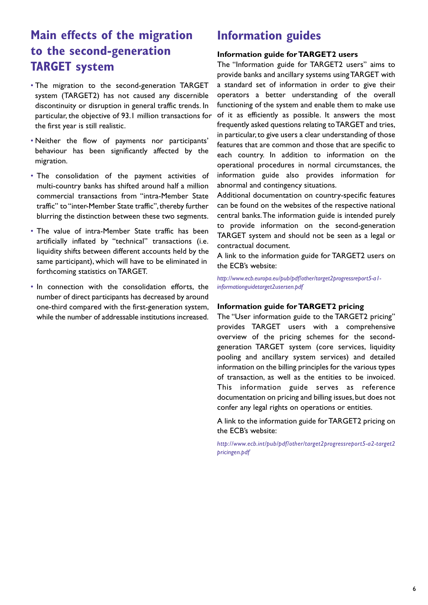# **Main effects of the migration to the second-generation TARGET system**

- The migration to the second-generation TARGET system (TARGET2) has not caused any discernible discontinuity or disruption in general traffic trends. In particular, the objective of 93.1 million transactions for the first year is still realistic.
- Neither the flow of payments nor participants' behaviour has been significantly affected by the migration.
- The consolidation of the payment activities of multi-country banks has shifted around half a million commercial transactions from "intra-Member State traffic" to "inter-Member State traffic", thereby further blurring the distinction between these two segments.
- The value of intra-Member State traffic has been artificially inflated by "technical" transactions (i.e. liquidity shifts between different accounts held by the same participant), which will have to be eliminated in forthcoming statistics on TARGET.
- In connection with the consolidation efforts, the number of direct participants has decreased by around one-third compared with the first-generation system, while the number of addressable institutions increased.

## **Information guides**

#### **Information guide forTARGET2 users**

The "Information guide for TARGET2 users" aims to provide banks and ancillary systems usingTARGET with a standard set of information in order to give their operators a better understanding of the overall functioning of the system and enable them to make use of it as efficiently as possible. It answers the most frequently asked questions relating toTARGET and tries, in particular,to give users a clear understanding of those features that are common and those that are specific to each country. In addition to information on the operational procedures in normal circumstances, the information guide also provides information for abnormal and contingency situations.

Additional documentation on country-specific features can be found on the websites of the respective national central banks.The information guide is intended purely to provide information on the second-generation TARGET system and should not be seen as a legal or contractual document.

A link to the information guide for TARGET2 users on the ECB's website:

*http://www.ecb.europa.eu/pub/pdf/other/target2progressreport5-a1 informationguidetarget2usersen.pdf*

#### **Information guide forTARGET2 pricing**

The "User information guide to the TARGET2 pricing" provides TARGET users with a comprehensive overview of the pricing schemes for the secondgeneration TARGET system (core services, liquidity pooling and ancillary system services) and detailed information on the billing principles for the various types of transaction, as well as the entities to be invoiced. This information guide serves as reference documentation on pricing and billing issues, but does not confer any legal rights on operations or entities.

A link to the information guide forTARGET2 pricing on the ECB's website:

*http://www.ecb.int/pub/pdf/other/target2progressreport5-a2-target2 pricingen.pdf*